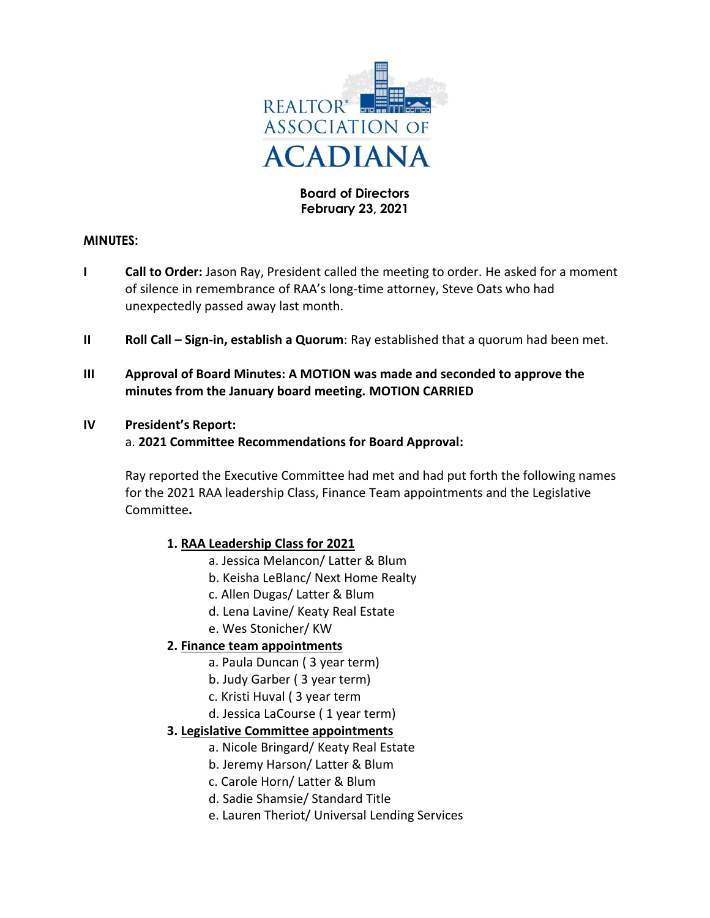

### **Board of Directors February 23, 2021**

### **MINUTES:**

- **I Call to Order:** Jason Ray, President called the meeting to order. He asked for a moment of silence in remembrance of RAA's long-time attorney, Steve Oats who had unexpectedly passed away last month.
- **II Roll Call Sign-in, establish a Quorum**: Ray established that a quorum had been met.
- **III Approval of Board Minutes: A MOTION was made and seconded to approve the minutes from the January board meeting. MOTION CARRIED**

#### **IV President's Report:**

### a. **2021 Committee Recommendations for Board Approval:**

Ray reported the Executive Committee had met and had put forth the following names for the 2021 RAA leadership Class, Finance Team appointments and the Legislative Committee**.**

# **1. RAA Leadership Class for 2021**

- a. Jessica Melancon/ Latter & Blum
- b. Keisha LeBlanc/ Next Home Realty
- c. Allen Dugas/ Latter & Blum
- d. Lena Lavine/ Keaty Real Estate
- e. Wes Stonicher/ KW

# **2. Finance team appointments**

- a. Paula Duncan ( 3 year term)
- b. Judy Garber ( 3 year term)
- c. Kristi Huval ( 3 year term
- d. Jessica LaCourse ( 1 year term)

# **3. Legislative Committee appointments**

- a. Nicole Bringard/ Keaty Real Estate
- b. Jeremy Harson/ Latter & Blum
- c. Carole Horn/ Latter & Blum
- d. Sadie Shamsie/ Standard Title
- e. Lauren Theriot/ Universal Lending Services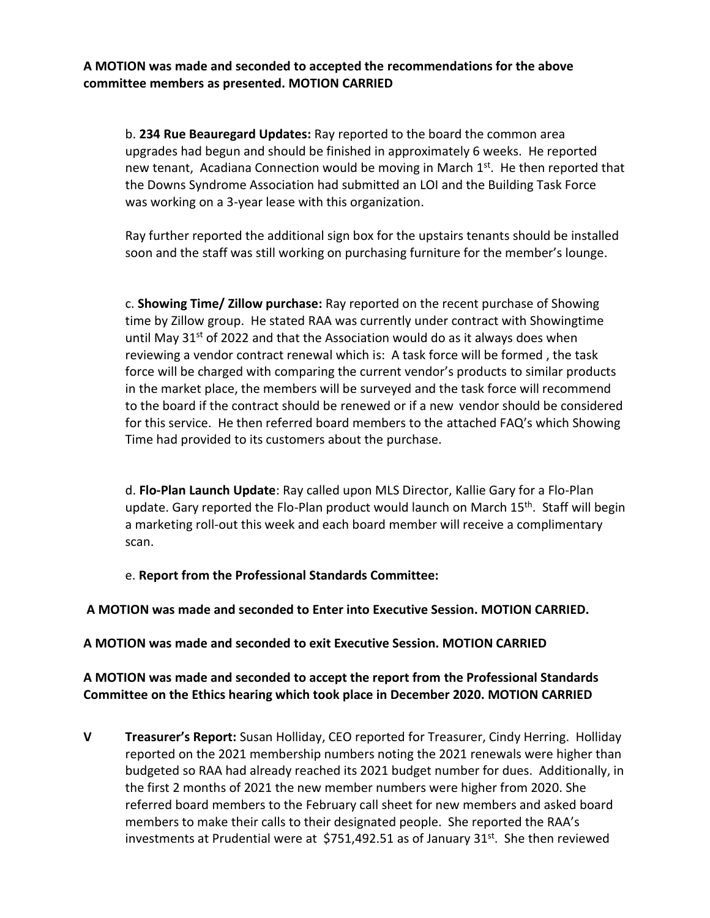### **A MOTION was made and seconded to accepted the recommendations for the above committee members as presented. MOTION CARRIED**

b. **234 Rue Beauregard Updates:** Ray reported to the board the common area upgrades had begun and should be finished in approximately 6 weeks. He reported new tenant, Acadiana Connection would be moving in March  $1<sup>st</sup>$ . He then reported that the Downs Syndrome Association had submitted an LOI and the Building Task Force was working on a 3-year lease with this organization.

Ray further reported the additional sign box for the upstairs tenants should be installed soon and the staff was still working on purchasing furniture for the member's lounge.

c. **Showing Time/ Zillow purchase:** Ray reported on the recent purchase of Showing time by Zillow group. He stated RAA was currently under contract with Showingtime until May  $31<sup>st</sup>$  of 2022 and that the Association would do as it always does when reviewing a vendor contract renewal which is: A task force will be formed , the task force will be charged with comparing the current vendor's products to similar products in the market place, the members will be surveyed and the task force will recommend to the board if the contract should be renewed or if a new vendor should be considered for this service. He then referred board members to the attached FAQ's which Showing Time had provided to its customers about the purchase.

d. **Flo-Plan Launch Update**: Ray called upon MLS Director, Kallie Gary for a Flo-Plan update. Gary reported the Flo-Plan product would launch on March 15<sup>th</sup>. Staff will begin a marketing roll-out this week and each board member will receive a complimentary scan.

e. **Report from the Professional Standards Committee:**

**A MOTION was made and seconded to Enter into Executive Session. MOTION CARRIED.**

**A MOTION was made and seconded to exit Executive Session. MOTION CARRIED**

**A MOTION was made and seconded to accept the report from the Professional Standards Committee on the Ethics hearing which took place in December 2020. MOTION CARRIED**

**V Treasurer's Report:** Susan Holliday, CEO reported for Treasurer, Cindy Herring. Holliday reported on the 2021 membership numbers noting the 2021 renewals were higher than budgeted so RAA had already reached its 2021 budget number for dues. Additionally, in the first 2 months of 2021 the new member numbers were higher from 2020. She referred board members to the February call sheet for new members and asked board members to make their calls to their designated people. She reported the RAA's investments at Prudential were at \$751,492.51 as of January  $31^{st}$ . She then reviewed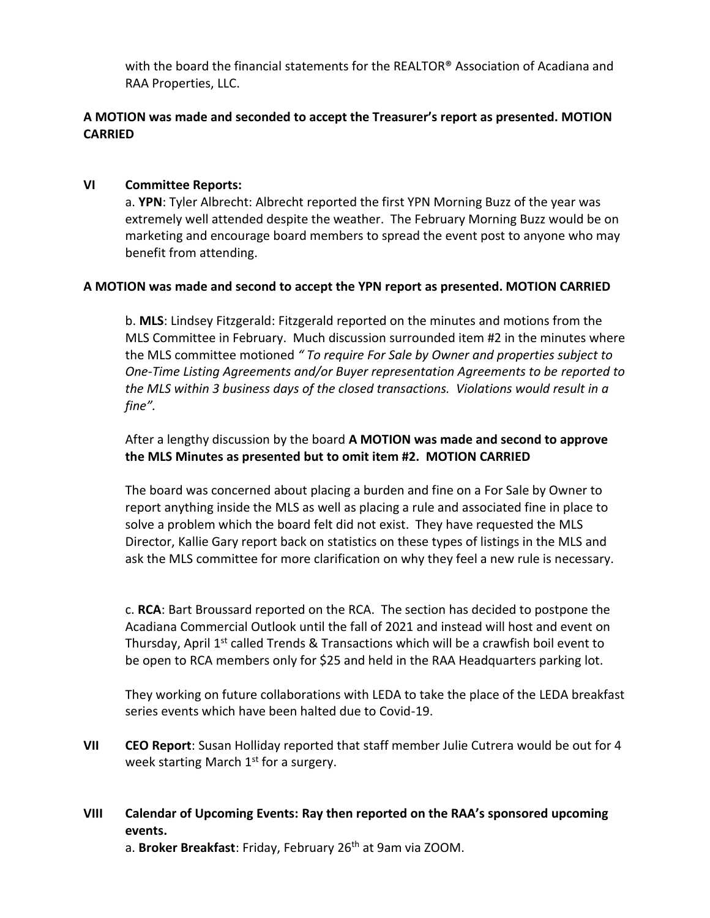with the board the financial statements for the REALTOR<sup>®</sup> Association of Acadiana and RAA Properties, LLC.

# **A MOTION was made and seconded to accept the Treasurer's report as presented. MOTION CARRIED**

### **VI Committee Reports:**

a. **YPN**: Tyler Albrecht: Albrecht reported the first YPN Morning Buzz of the year was extremely well attended despite the weather. The February Morning Buzz would be on marketing and encourage board members to spread the event post to anyone who may benefit from attending.

### **A MOTION was made and second to accept the YPN report as presented. MOTION CARRIED**

b. **MLS**: Lindsey Fitzgerald: Fitzgerald reported on the minutes and motions from the MLS Committee in February. Much discussion surrounded item #2 in the minutes where the MLS committee motioned *" To require For Sale by Owner and properties subject to One-Time Listing Agreements and/or Buyer representation Agreements to be reported to the MLS within 3 business days of the closed transactions. Violations would result in a fine".*

After a lengthy discussion by the board **A MOTION was made and second to approve the MLS Minutes as presented but to omit item #2. MOTION CARRIED**

The board was concerned about placing a burden and fine on a For Sale by Owner to report anything inside the MLS as well as placing a rule and associated fine in place to solve a problem which the board felt did not exist. They have requested the MLS Director, Kallie Gary report back on statistics on these types of listings in the MLS and ask the MLS committee for more clarification on why they feel a new rule is necessary.

c. **RCA**: Bart Broussard reported on the RCA. The section has decided to postpone the Acadiana Commercial Outlook until the fall of 2021 and instead will host and event on Thursday, April  $1<sup>st</sup>$  called Trends & Transactions which will be a crawfish boil event to be open to RCA members only for \$25 and held in the RAA Headquarters parking lot.

They working on future collaborations with LEDA to take the place of the LEDA breakfast series events which have been halted due to Covid-19.

- **VII CEO Report**: Susan Holliday reported that staff member Julie Cutrera would be out for 4 week starting March  $1<sup>st</sup>$  for a surgery.
- **VIII Calendar of Upcoming Events: Ray then reported on the RAA's sponsored upcoming events.**

a. **Broker Breakfast**: Friday, February 26th at 9am via ZOOM.